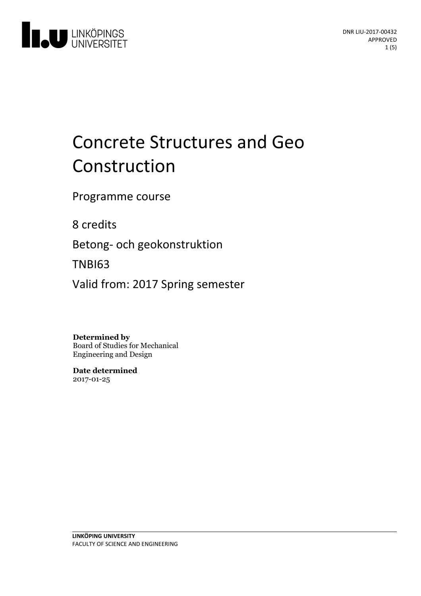

# Concrete Structures and Geo Construction

Programme course

8 credits

Betong- och geokonstruktion

TNBI63

Valid from: 2017 Spring semester

**Determined by**

Board of Studies for Mechanical Engineering and Design

**Date determined** 2017-01-25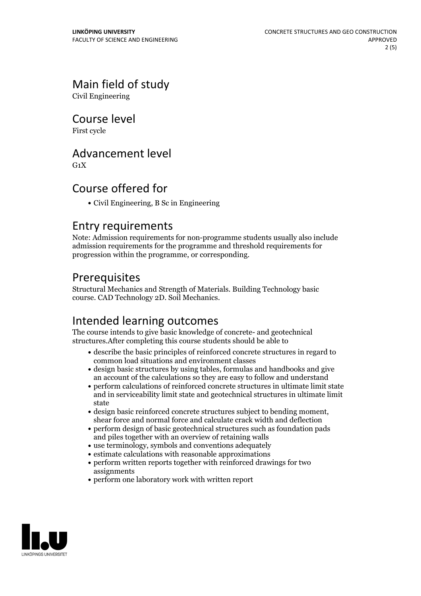# Main field of study

Civil Engineering

Course level

First cycle

### Advancement level

 $G_1X$ 

# Course offered for

Civil Engineering, B Sc in Engineering

#### Entry requirements

Note: Admission requirements for non-programme students usually also include admission requirements for the programme and threshold requirements for progression within the programme, or corresponding.

# Prerequisites

Structural Mechanics and Strength of Materials. Building Technology basic course. CAD Technology 2D. Soil Mechanics.

# Intended learning outcomes

The course intends to give basic knowledge of concrete- and geotechnical structures.After completing this course students should be able to

- describe the basic principles of reinforced concrete structures in regard to common load situations and environment classes
- design basic structures by using tables, formulas and handbooks and give an account of the calculations so they are easy to follow and understand
- perform calculations of reinforced concrete structures in ultimate limit state and in serviceability limit state and geotechnical structures in ultimate limit state
- design basic reinforced concrete structures subject to bending moment, shear force and normal force and calculate crack width and deflection
- perform design of basic geotechnical structures such as foundation pads and piles together with an overview of retaining walls
- use terminology, symbols and conventions adequately
- estimate calculations with reasonable approximations
- perform written reports together with reinforced drawings for two assignments
- perform one laboratory work with written report

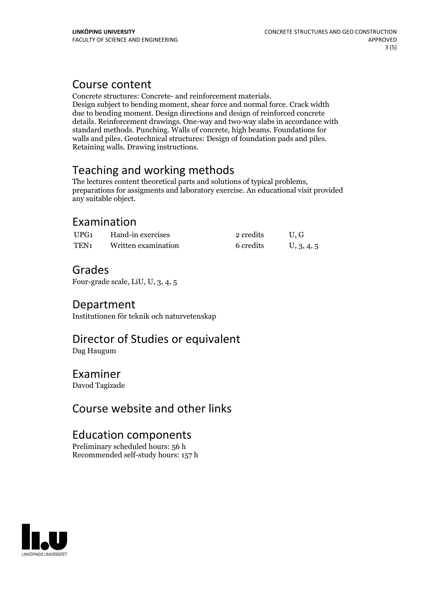#### Course content

Concrete structures: Concrete- and reinforcement materials. Design subject to bending moment, shear force and normal force. Crack width due to bending moment. Design directions and design of reinforced concrete details. Reinforcement drawings. One-way and two-way slabs in accordance with standard methods. Punching. Walls of concrete, high beams. Foundations for walls and piles. Geotechnical structures: Design of foundation pads and piles. Retaining walls. Drawing instructions.

Teaching and working methods<br>The lectures content theoretical parts and solutions of typical problems, preparations for assigments and laboratory exercise. An educational visit provided any suitable object.

### Examination

| UPG <sub>1</sub> | Hand-in exercises   | 2 credits | U.G        |
|------------------|---------------------|-----------|------------|
| TEN <sub>1</sub> | Written examination | 6 credits | U, 3, 4, 5 |

# Grades

Four-grade scale, LiU, U, 3, 4, 5

#### Department

Institutionen för teknik och naturvetenskap

# Director of Studies or equivalent

Dag Haugum

#### Examiner

Davod Tagizade

#### Course website and other links

#### Education components

Preliminary scheduled hours: 56 h Recommended self-study hours: 157 h

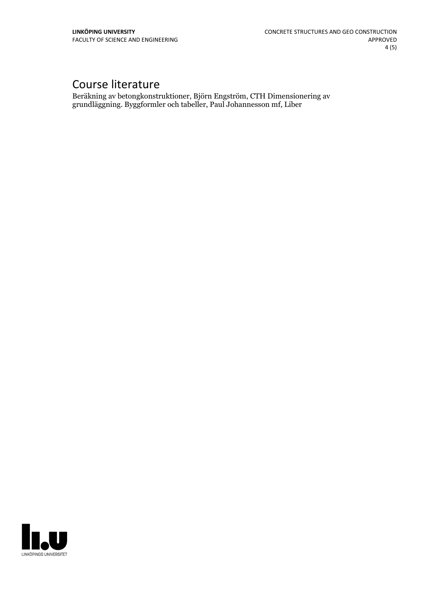# Course literature

Beräkning av betongkonstruktioner, Björn Engström, CTH Dimensionering av grundläggning. Byggformler och tabeller, Paul Johannesson mf, Liber